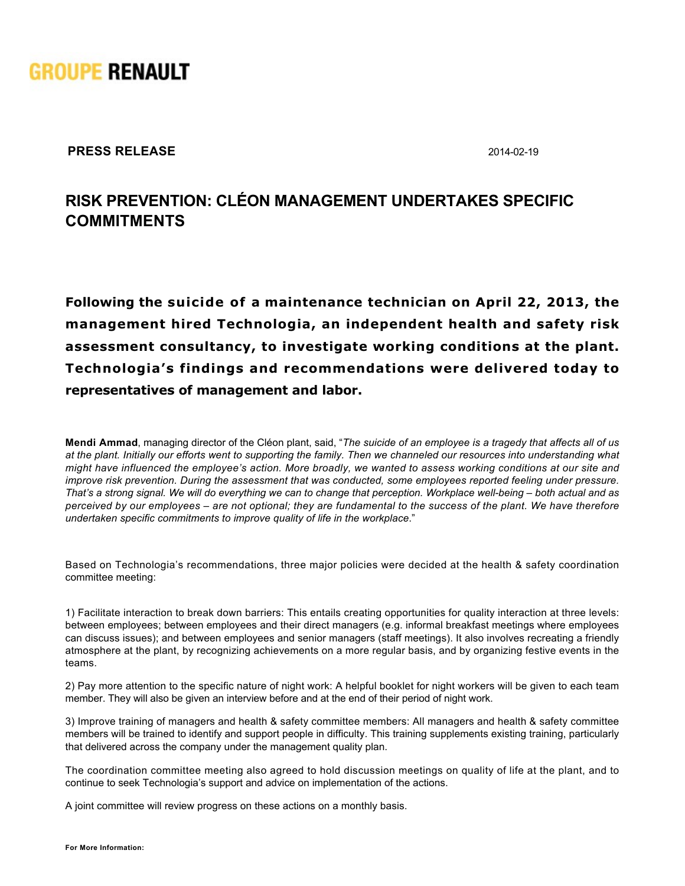

**PRESS RELEASE** 2014-02-19

## **RISK PREVENTION: CLÉON MANAGEMENT UNDERTAKES SPECIFIC COMMITMENTS**

**Following the suicide of a maintenance technician on April 22, 2013, the management hired Technologia, an independent health and safety risk assessment consultancy, to investigate working conditions at the plant. Technologia's findings and recommendations were delivered today to representatives of management and labor.**

**Mendi Ammad**, managing director of the Cléon plant, said, "*The suicide of an employee is a tragedy that affects all of us at the plant. Initially our efforts went to supporting the family. Then we channeled our resources into understanding what might have influenced the employee's action. More broadly, we wanted to assess working conditions at our site and improve risk prevention. During the assessment that was conducted, some employees reported feeling under pressure.* That's a strong signal. We will do everything we can to change that perception. Workplace well-being – both actual and as *perceived by our employees – are not optional; they are fundamental to the success of the plant. We have therefore undertaken specific commitments to improve quality of life in the workplace*."

Based on Technologia's recommendations, three major policies were decided at the health & safety coordination committee meeting:

1) Facilitate interaction to break down barriers: This entails creating opportunities for quality interaction at three levels: between employees; between employees and their direct managers (e.g. informal breakfast meetings where employees can discuss issues); and between employees and senior managers (staff meetings). It also involves recreating a friendly atmosphere at the plant, by recognizing achievements on a more regular basis, and by organizing festive events in the teams.

2) Pay more attention to the specific nature of night work: A helpful booklet for night workers will be given to each team member. They will also be given an interview before and at the end of their period of night work.

3) Improve training of managers and health & safety committee members: All managers and health & safety committee members will be trained to identify and support people in difficulty. This training supplements existing training, particularly that delivered across the company under the management quality plan.

The coordination committee meeting also agreed to hold discussion meetings on quality of life at the plant, and to continue to seek Technologia's support and advice on implementation of the actions.

A joint committee will review progress on these actions on a monthly basis.